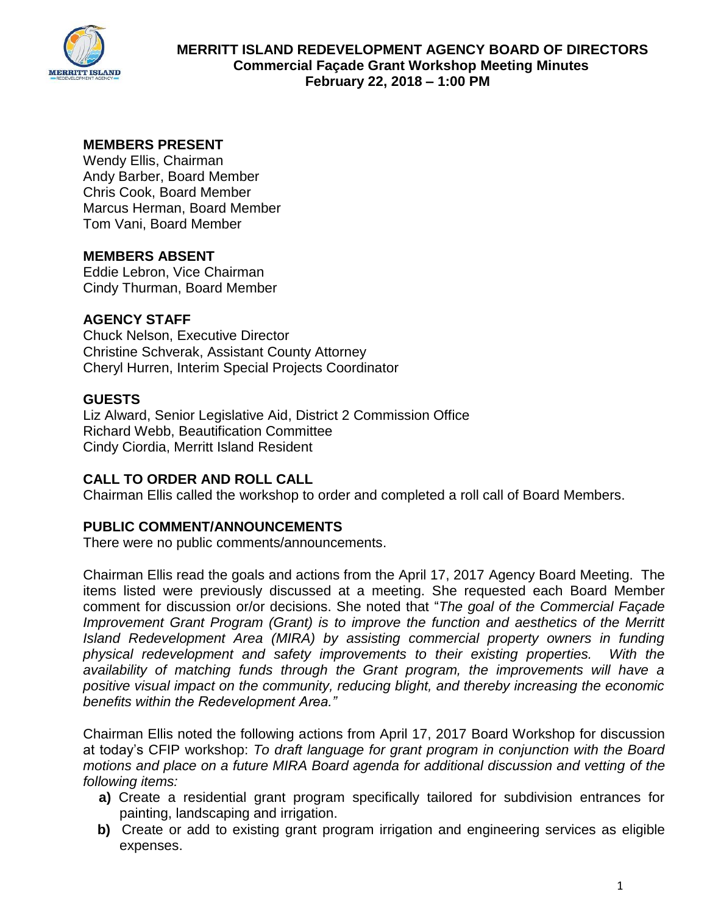

# **MEMBERS PRESENT**

Wendy Ellis, Chairman Andy Barber, Board Member Chris Cook, Board Member Marcus Herman, Board Member Tom Vani, Board Member

# **MEMBERS ABSENT**

Eddie Lebron, Vice Chairman Cindy Thurman, Board Member

# **AGENCY STAFF**

Chuck Nelson, Executive Director Christine Schverak, Assistant County Attorney Cheryl Hurren, Interim Special Projects Coordinator

# **GUESTS**

Liz Alward, Senior Legislative Aid, District 2 Commission Office Richard Webb, Beautification Committee Cindy Ciordia, Merritt Island Resident

# **CALL TO ORDER AND ROLL CALL**

Chairman Ellis called the workshop to order and completed a roll call of Board Members.

# **PUBLIC COMMENT/ANNOUNCEMENTS**

There were no public comments/announcements.

Chairman Ellis read the goals and actions from the April 17, 2017 Agency Board Meeting. The items listed were previously discussed at a meeting. She requested each Board Member comment for discussion or/or decisions. She noted that "*The goal of the Commercial Façade Improvement Grant Program (Grant) is to improve the function and aesthetics of the Merritt Island Redevelopment Area (MIRA) by assisting commercial property owners in funding physical redevelopment and safety improvements to their existing properties. With the availability of matching funds through the Grant program, the improvements will have a positive visual impact on the community, reducing blight, and thereby increasing the economic benefits within the Redevelopment Area."*

Chairman Ellis noted the following actions from April 17, 2017 Board Workshop for discussion at today's CFIP workshop: *To draft language for grant program in conjunction with the Board motions and place on a future MIRA Board agenda for additional discussion and vetting of the following items:* 

- **a)** Create a residential grant program specifically tailored for subdivision entrances for painting, landscaping and irrigation.
- **b)** Create or add to existing grant program irrigation and engineering services as eligible expenses.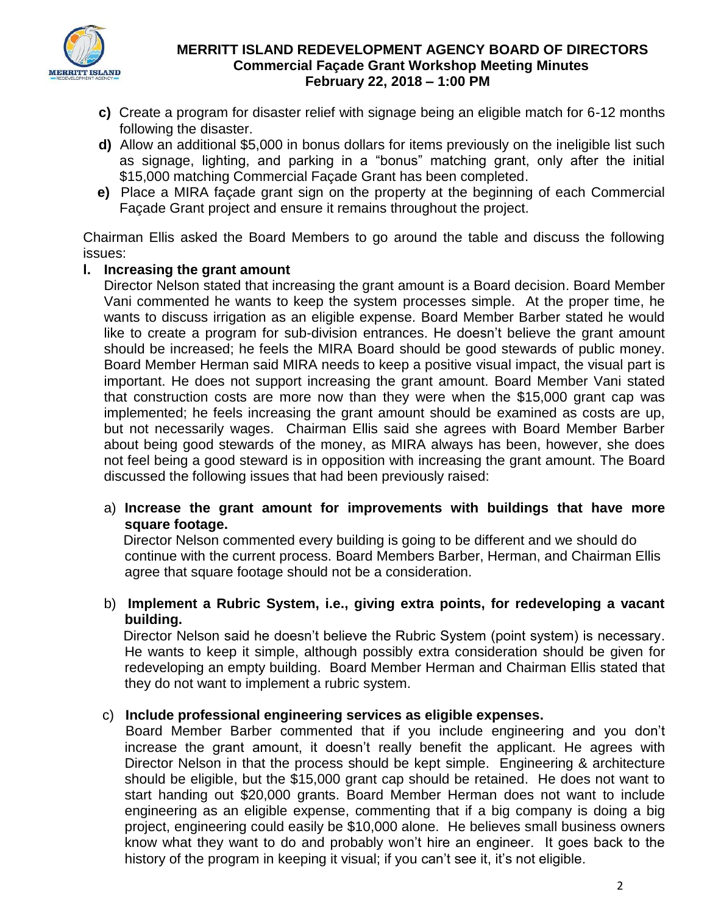

- **c)** Create a program for disaster relief with signage being an eligible match for 6-12 months following the disaster.
- **d)** Allow an additional \$5,000 in bonus dollars for items previously on the ineligible list such as signage, lighting, and parking in a "bonus" matching grant, only after the initial \$15,000 matching Commercial Façade Grant has been completed.
- **e)** Place a MIRA façade grant sign on the property at the beginning of each Commercial Façade Grant project and ensure it remains throughout the project.

Chairman Ellis asked the Board Members to go around the table and discuss the following issues:

# **l. Increasing the grant amount**

 Director Nelson stated that increasing the grant amount is a Board decision. Board Member Vani commented he wants to keep the system processes simple. At the proper time, he wants to discuss irrigation as an eligible expense. Board Member Barber stated he would like to create a program for sub-division entrances. He doesn't believe the grant amount should be increased; he feels the MIRA Board should be good stewards of public money. Board Member Herman said MIRA needs to keep a positive visual impact, the visual part is important. He does not support increasing the grant amount. Board Member Vani stated that construction costs are more now than they were when the \$15,000 grant cap was implemented; he feels increasing the grant amount should be examined as costs are up, but not necessarily wages. Chairman Ellis said she agrees with Board Member Barber about being good stewards of the money, as MIRA always has been, however, she does not feel being a good steward is in opposition with increasing the grant amount. The Board discussed the following issues that had been previously raised:

# a) **Increase the grant amount for improvements with buildings that have more square footage.**

 Director Nelson commented every building is going to be different and we should do continue with the current process. Board Members Barber, Herman, and Chairman Ellis agree that square footage should not be a consideration.

# b) **Implement a Rubric System, i.e., giving extra points, for redeveloping a vacant building.**

 Director Nelson said he doesn't believe the Rubric System (point system) is necessary. He wants to keep it simple, although possibly extra consideration should be given for redeveloping an empty building. Board Member Herman and Chairman Ellis stated that they do not want to implement a rubric system.

# c) **Include professional engineering services as eligible expenses.**

 Board Member Barber commented that if you include engineering and you don't increase the grant amount, it doesn't really benefit the applicant. He agrees with Director Nelson in that the process should be kept simple. Engineering & architecture should be eligible, but the \$15,000 grant cap should be retained. He does not want to start handing out \$20,000 grants. Board Member Herman does not want to include engineering as an eligible expense, commenting that if a big company is doing a big project, engineering could easily be \$10,000 alone. He believes small business owners know what they want to do and probably won't hire an engineer. It goes back to the history of the program in keeping it visual; if you can't see it, it's not eligible.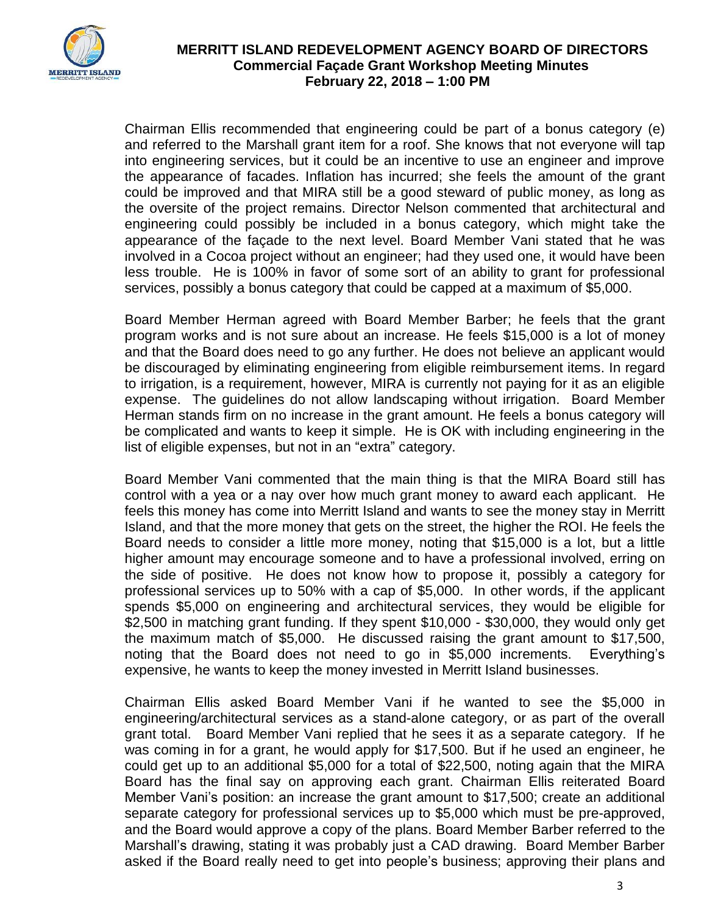

 Chairman Ellis recommended that engineering could be part of a bonus category (e) and referred to the Marshall grant item for a roof. She knows that not everyone will tap into engineering services, but it could be an incentive to use an engineer and improve the appearance of facades. Inflation has incurred; she feels the amount of the grant could be improved and that MIRA still be a good steward of public money, as long as the oversite of the project remains. Director Nelson commented that architectural and engineering could possibly be included in a bonus category, which might take the appearance of the façade to the next level. Board Member Vani stated that he was involved in a Cocoa project without an engineer; had they used one, it would have been less trouble. He is 100% in favor of some sort of an ability to grant for professional services, possibly a bonus category that could be capped at a maximum of \$5,000.

Board Member Herman agreed with Board Member Barber; he feels that the grant program works and is not sure about an increase. He feels \$15,000 is a lot of money and that the Board does need to go any further. He does not believe an applicant would be discouraged by eliminating engineering from eligible reimbursement items. In regard to irrigation, is a requirement, however, MIRA is currently not paying for it as an eligible expense. The guidelines do not allow landscaping without irrigation. Board Member Herman stands firm on no increase in the grant amount. He feels a bonus category will be complicated and wants to keep it simple. He is OK with including engineering in the list of eligible expenses, but not in an "extra" category.

Board Member Vani commented that the main thing is that the MIRA Board still has control with a yea or a nay over how much grant money to award each applicant. He feels this money has come into Merritt Island and wants to see the money stay in Merritt Island, and that the more money that gets on the street, the higher the ROI. He feels the Board needs to consider a little more money, noting that \$15,000 is a lot, but a little higher amount may encourage someone and to have a professional involved, erring on the side of positive. He does not know how to propose it, possibly a category for professional services up to 50% with a cap of \$5,000. In other words, if the applicant spends \$5,000 on engineering and architectural services, they would be eligible for \$2,500 in matching grant funding. If they spent \$10,000 - \$30,000, they would only get the maximum match of \$5,000. He discussed raising the grant amount to \$17,500, noting that the Board does not need to go in \$5,000 increments. Everything's expensive, he wants to keep the money invested in Merritt Island businesses.

Chairman Ellis asked Board Member Vani if he wanted to see the \$5,000 in engineering/architectural services as a stand-alone category, or as part of the overall grant total. Board Member Vani replied that he sees it as a separate category. If he was coming in for a grant, he would apply for \$17,500. But if he used an engineer, he could get up to an additional \$5,000 for a total of \$22,500, noting again that the MIRA Board has the final say on approving each grant. Chairman Ellis reiterated Board Member Vani's position: an increase the grant amount to \$17,500; create an additional separate category for professional services up to \$5,000 which must be pre-approved, and the Board would approve a copy of the plans. Board Member Barber referred to the Marshall's drawing, stating it was probably just a CAD drawing. Board Member Barber asked if the Board really need to get into people's business; approving their plans and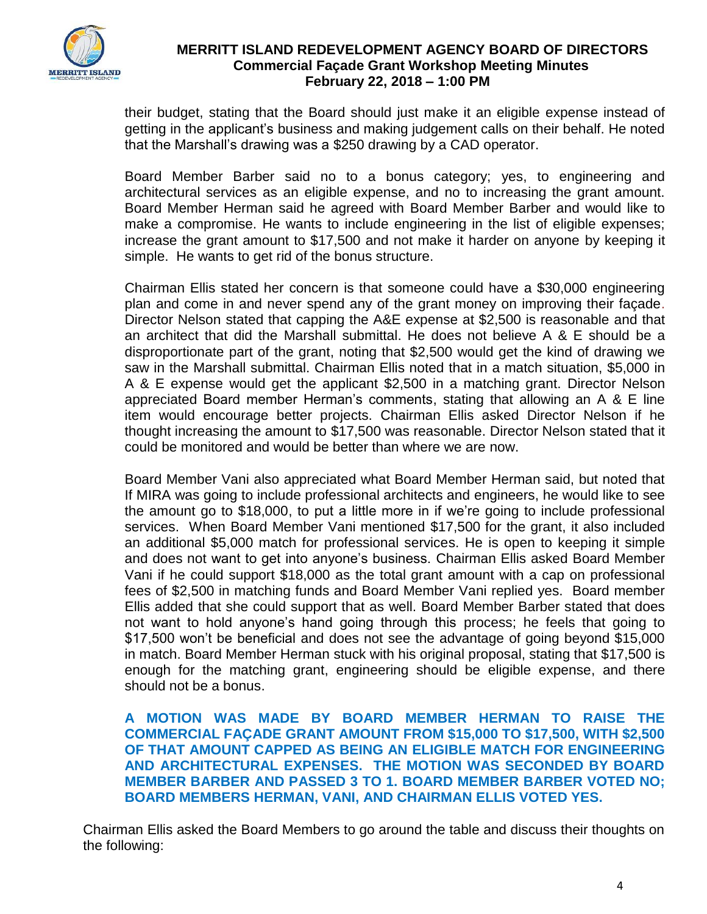

their budget, stating that the Board should just make it an eligible expense instead of getting in the applicant's business and making judgement calls on their behalf. He noted that the Marshall's drawing was a \$250 drawing by a CAD operator.

Board Member Barber said no to a bonus category; yes, to engineering and architectural services as an eligible expense, and no to increasing the grant amount. Board Member Herman said he agreed with Board Member Barber and would like to make a compromise. He wants to include engineering in the list of eligible expenses; increase the grant amount to \$17,500 and not make it harder on anyone by keeping it simple. He wants to get rid of the bonus structure.

Chairman Ellis stated her concern is that someone could have a \$30,000 engineering plan and come in and never spend any of the grant money on improving their façade. Director Nelson stated that capping the A&E expense at \$2,500 is reasonable and that an architect that did the Marshall submittal. He does not believe A & E should be a disproportionate part of the grant, noting that \$2,500 would get the kind of drawing we saw in the Marshall submittal. Chairman Ellis noted that in a match situation, \$5,000 in A & E expense would get the applicant \$2,500 in a matching grant. Director Nelson appreciated Board member Herman's comments, stating that allowing an A & E line item would encourage better projects. Chairman Ellis asked Director Nelson if he thought increasing the amount to \$17,500 was reasonable. Director Nelson stated that it could be monitored and would be better than where we are now.

Board Member Vani also appreciated what Board Member Herman said, but noted that If MIRA was going to include professional architects and engineers, he would like to see the amount go to \$18,000, to put a little more in if we're going to include professional services. When Board Member Vani mentioned \$17,500 for the grant, it also included an additional \$5,000 match for professional services. He is open to keeping it simple and does not want to get into anyone's business. Chairman Ellis asked Board Member Vani if he could support \$18,000 as the total grant amount with a cap on professional fees of \$2,500 in matching funds and Board Member Vani replied yes. Board member Ellis added that she could support that as well. Board Member Barber stated that does not want to hold anyone's hand going through this process; he feels that going to \$17,500 won't be beneficial and does not see the advantage of going beyond \$15,000 in match. Board Member Herman stuck with his original proposal, stating that \$17,500 is enough for the matching grant, engineering should be eligible expense, and there should not be a bonus.

**A MOTION WAS MADE BY BOARD MEMBER HERMAN TO RAISE THE COMMERCIAL FAÇADE GRANT AMOUNT FROM \$15,000 TO \$17,500, WITH \$2,500 OF THAT AMOUNT CAPPED AS BEING AN ELIGIBLE MATCH FOR ENGINEERING AND ARCHITECTURAL EXPENSES. THE MOTION WAS SECONDED BY BOARD MEMBER BARBER AND PASSED 3 TO 1. BOARD MEMBER BARBER VOTED NO; BOARD MEMBERS HERMAN, VANI, AND CHAIRMAN ELLIS VOTED YES.**

Chairman Ellis asked the Board Members to go around the table and discuss their thoughts on the following: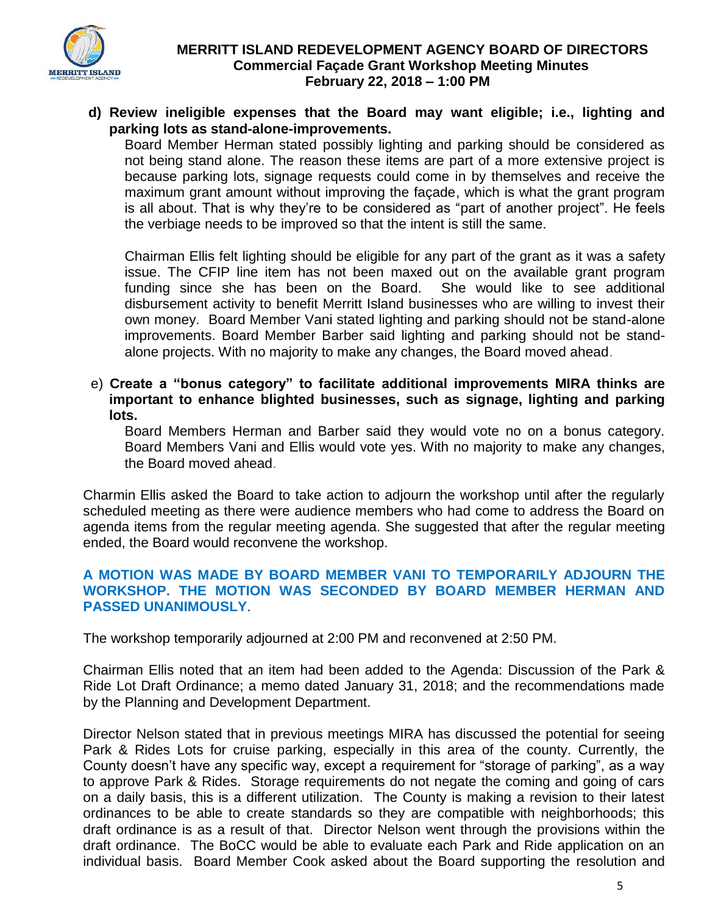

**d) Review ineligible expenses that the Board may want eligible; i.e., lighting and parking lots as stand-alone-improvements.**

Board Member Herman stated possibly lighting and parking should be considered as not being stand alone. The reason these items are part of a more extensive project is because parking lots, signage requests could come in by themselves and receive the maximum grant amount without improving the façade, which is what the grant program is all about. That is why they're to be considered as "part of another project". He feels the verbiage needs to be improved so that the intent is still the same.

Chairman Ellis felt lighting should be eligible for any part of the grant as it was a safety issue. The CFIP line item has not been maxed out on the available grant program funding since she has been on the Board. She would like to see additional disbursement activity to benefit Merritt Island businesses who are willing to invest their own money. Board Member Vani stated lighting and parking should not be stand-alone improvements. Board Member Barber said lighting and parking should not be standalone projects. With no majority to make any changes, the Board moved ahead.

 e) **Create a "bonus category" to facilitate additional improvements MIRA thinks are important to enhance blighted businesses, such as signage, lighting and parking lots.** 

Board Members Herman and Barber said they would vote no on a bonus category. Board Members Vani and Ellis would vote yes. With no majority to make any changes, the Board moved ahead.

Charmin Ellis asked the Board to take action to adjourn the workshop until after the regularly scheduled meeting as there were audience members who had come to address the Board on agenda items from the regular meeting agenda. She suggested that after the regular meeting ended, the Board would reconvene the workshop.

#### **A MOTION WAS MADE BY BOARD MEMBER VANI TO TEMPORARILY ADJOURN THE WORKSHOP. THE MOTION WAS SECONDED BY BOARD MEMBER HERMAN AND PASSED UNANIMOUSLY**.

The workshop temporarily adjourned at 2:00 PM and reconvened at 2:50 PM.

Chairman Ellis noted that an item had been added to the Agenda: Discussion of the Park & Ride Lot Draft Ordinance; a memo dated January 31, 2018; and the recommendations made by the Planning and Development Department.

Director Nelson stated that in previous meetings MIRA has discussed the potential for seeing Park & Rides Lots for cruise parking, especially in this area of the county. Currently, the County doesn't have any specific way, except a requirement for "storage of parking", as a way to approve Park & Rides. Storage requirements do not negate the coming and going of cars on a daily basis, this is a different utilization. The County is making a revision to their latest ordinances to be able to create standards so they are compatible with neighborhoods; this draft ordinance is as a result of that. Director Nelson went through the provisions within the draft ordinance. The BoCC would be able to evaluate each Park and Ride application on an individual basis. Board Member Cook asked about the Board supporting the resolution and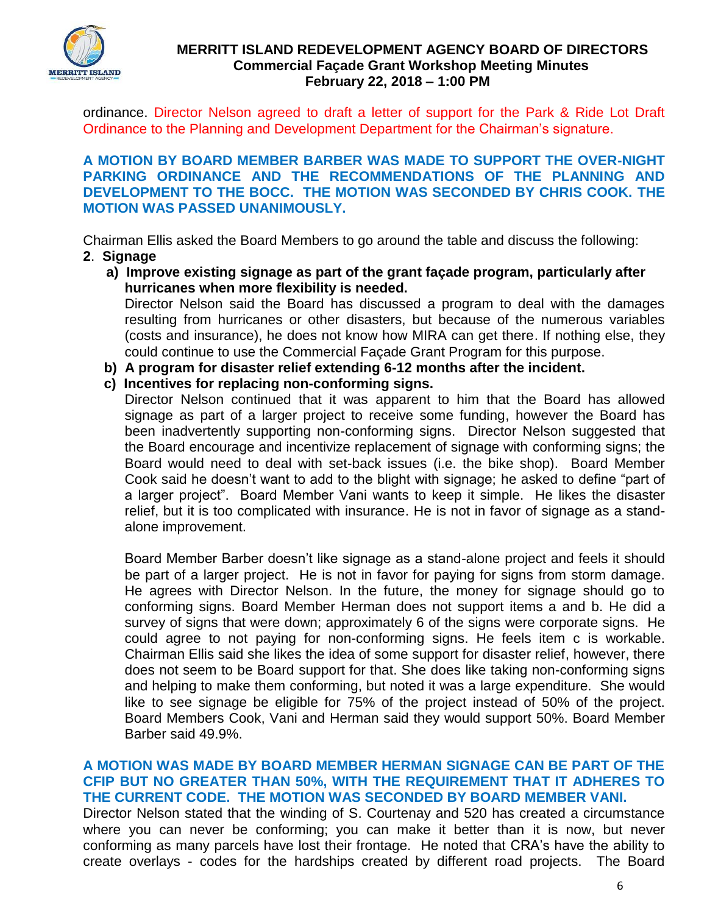

ordinance. Director Nelson agreed to draft a letter of support for the Park & Ride Lot Draft Ordinance to the Planning and Development Department for the Chairman's signature.

**A MOTION BY BOARD MEMBER BARBER WAS MADE TO SUPPORT THE OVER-NIGHT PARKING ORDINANCE AND THE RECOMMENDATIONS OF THE PLANNING AND DEVELOPMENT TO THE BOCC. THE MOTION WAS SECONDED BY CHRIS COOK. THE MOTION WAS PASSED UNANIMOUSLY.** 

Chairman Ellis asked the Board Members to go around the table and discuss the following:

- **2**. **Signage** 
	- **a) Improve existing signage as part of the grant façade program, particularly after hurricanes when more flexibility is needed.**

 Director Nelson said the Board has discussed a program to deal with the damages resulting from hurricanes or other disasters, but because of the numerous variables (costs and insurance), he does not know how MIRA can get there. If nothing else, they could continue to use the Commercial Façade Grant Program for this purpose.

- **b) A program for disaster relief extending 6-12 months after the incident.**
- **c) Incentives for replacing non-conforming signs.**

Director Nelson continued that it was apparent to him that the Board has allowed signage as part of a larger project to receive some funding, however the Board has been inadvertently supporting non-conforming signs. Director Nelson suggested that the Board encourage and incentivize replacement of signage with conforming signs; the Board would need to deal with set-back issues (i.e. the bike shop). Board Member Cook said he doesn't want to add to the blight with signage; he asked to define "part of a larger project". Board Member Vani wants to keep it simple. He likes the disaster relief, but it is too complicated with insurance. He is not in favor of signage as a standalone improvement.

Board Member Barber doesn't like signage as a stand-alone project and feels it should be part of a larger project. He is not in favor for paying for signs from storm damage. He agrees with Director Nelson. In the future, the money for signage should go to conforming signs. Board Member Herman does not support items a and b. He did a survey of signs that were down; approximately 6 of the signs were corporate signs. He could agree to not paying for non-conforming signs. He feels item c is workable. Chairman Ellis said she likes the idea of some support for disaster relief, however, there does not seem to be Board support for that. She does like taking non-conforming signs and helping to make them conforming, but noted it was a large expenditure. She would like to see signage be eligible for 75% of the project instead of 50% of the project. Board Members Cook, Vani and Herman said they would support 50%. Board Member Barber said 49.9%.

**A MOTION WAS MADE BY BOARD MEMBER HERMAN SIGNAGE CAN BE PART OF THE CFIP BUT NO GREATER THAN 50%, WITH THE REQUIREMENT THAT IT ADHERES TO THE CURRENT CODE. THE MOTION WAS SECONDED BY BOARD MEMBER VANI.** Director Nelson stated that the winding of S. Courtenay and 520 has created a circumstance where you can never be conforming; you can make it better than it is now, but never conforming as many parcels have lost their frontage. He noted that CRA's have the ability to create overlays - codes for the hardships created by different road projects. The Board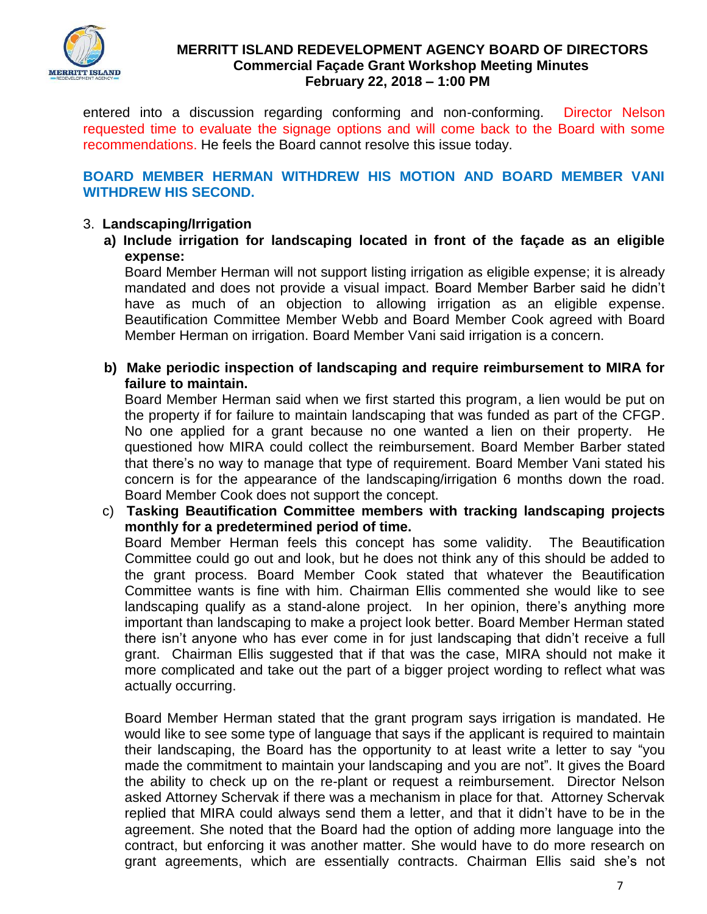

entered into a discussion regarding conforming and non-conforming. Director Nelson requested time to evaluate the signage options and will come back to the Board with some recommendations. He feels the Board cannot resolve this issue today.

# **BOARD MEMBER HERMAN WITHDREW HIS MOTION AND BOARD MEMBER VANI WITHDREW HIS SECOND.**

# 3. **Landscaping/Irrigation**

**a) Include irrigation for landscaping located in front of the façade as an eligible expense:** 

Board Member Herman will not support listing irrigation as eligible expense; it is already mandated and does not provide a visual impact. Board Member Barber said he didn't have as much of an objection to allowing irrigation as an eligible expense. Beautification Committee Member Webb and Board Member Cook agreed with Board Member Herman on irrigation. Board Member Vani said irrigation is a concern.

**b) Make periodic inspection of landscaping and require reimbursement to MIRA for failure to maintain.**

Board Member Herman said when we first started this program, a lien would be put on the property if for failure to maintain landscaping that was funded as part of the CFGP. No one applied for a grant because no one wanted a lien on their property. He questioned how MIRA could collect the reimbursement. Board Member Barber stated that there's no way to manage that type of requirement. Board Member Vani stated his concern is for the appearance of the landscaping/irrigation 6 months down the road. Board Member Cook does not support the concept.

 c) **Tasking Beautification Committee members with tracking landscaping projects monthly for a predetermined period of time.**

 Board Member Herman feels this concept has some validity. The Beautification Committee could go out and look, but he does not think any of this should be added to the grant process. Board Member Cook stated that whatever the Beautification Committee wants is fine with him. Chairman Ellis commented she would like to see landscaping qualify as a stand-alone project. In her opinion, there's anything more important than landscaping to make a project look better. Board Member Herman stated there isn't anyone who has ever come in for just landscaping that didn't receive a full grant. Chairman Ellis suggested that if that was the case, MIRA should not make it more complicated and take out the part of a bigger project wording to reflect what was actually occurring.

Board Member Herman stated that the grant program says irrigation is mandated. He would like to see some type of language that says if the applicant is required to maintain their landscaping, the Board has the opportunity to at least write a letter to say "you made the commitment to maintain your landscaping and you are not". It gives the Board the ability to check up on the re-plant or request a reimbursement. Director Nelson asked Attorney Schervak if there was a mechanism in place for that. Attorney Schervak replied that MIRA could always send them a letter, and that it didn't have to be in the agreement. She noted that the Board had the option of adding more language into the contract, but enforcing it was another matter. She would have to do more research on grant agreements, which are essentially contracts. Chairman Ellis said she's not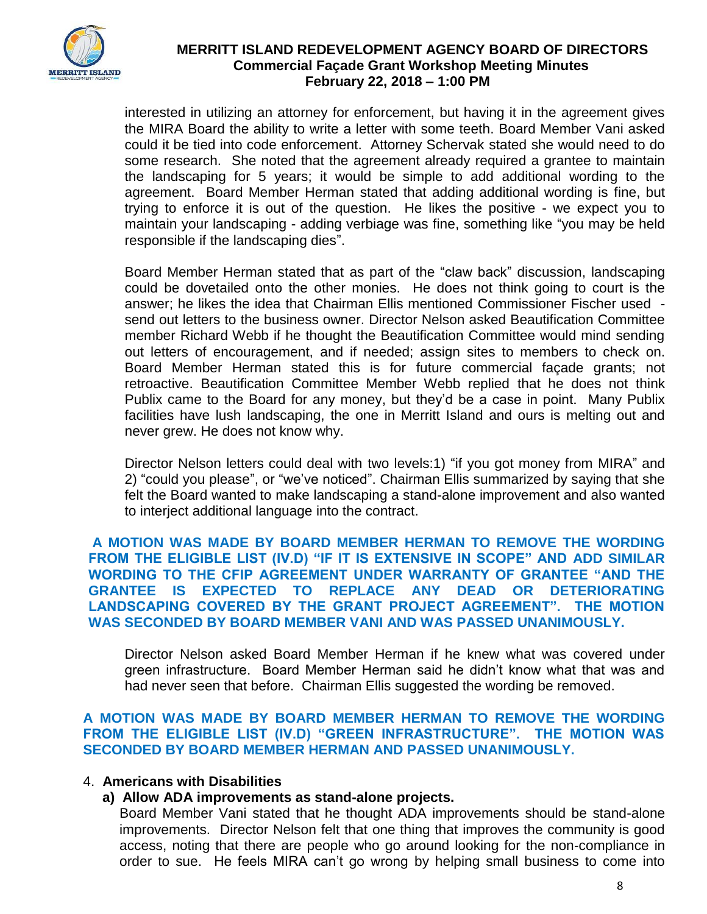

interested in utilizing an attorney for enforcement, but having it in the agreement gives the MIRA Board the ability to write a letter with some teeth. Board Member Vani asked could it be tied into code enforcement. Attorney Schervak stated she would need to do some research. She noted that the agreement already required a grantee to maintain the landscaping for 5 years; it would be simple to add additional wording to the agreement. Board Member Herman stated that adding additional wording is fine, but trying to enforce it is out of the question. He likes the positive - we expect you to maintain your landscaping - adding verbiage was fine, something like "you may be held responsible if the landscaping dies".

Board Member Herman stated that as part of the "claw back" discussion, landscaping could be dovetailed onto the other monies. He does not think going to court is the answer; he likes the idea that Chairman Ellis mentioned Commissioner Fischer used send out letters to the business owner. Director Nelson asked Beautification Committee member Richard Webb if he thought the Beautification Committee would mind sending out letters of encouragement, and if needed; assign sites to members to check on. Board Member Herman stated this is for future commercial façade grants; not retroactive. Beautification Committee Member Webb replied that he does not think Publix came to the Board for any money, but they'd be a case in point. Many Publix facilities have lush landscaping, the one in Merritt Island and ours is melting out and never grew. He does not know why.

 Director Nelson letters could deal with two levels:1) "if you got money from MIRA" and 2) "could you please", or "we've noticed". Chairman Ellis summarized by saying that she felt the Board wanted to make landscaping a stand-alone improvement and also wanted to interject additional language into the contract.

**A MOTION WAS MADE BY BOARD MEMBER HERMAN TO REMOVE THE WORDING FROM THE ELIGIBLE LIST (IV.D) "IF IT IS EXTENSIVE IN SCOPE" AND ADD SIMILAR WORDING TO THE CFIP AGREEMENT UNDER WARRANTY OF GRANTEE "AND THE GRANTEE IS EXPECTED TO REPLACE ANY DEAD OR DETERIORATING LANDSCAPING COVERED BY THE GRANT PROJECT AGREEMENT". THE MOTION WAS SECONDED BY BOARD MEMBER VANI AND WAS PASSED UNANIMOUSLY.** 

 Director Nelson asked Board Member Herman if he knew what was covered under green infrastructure. Board Member Herman said he didn't know what that was and had never seen that before. Chairman Ellis suggested the wording be removed.

**A MOTION WAS MADE BY BOARD MEMBER HERMAN TO REMOVE THE WORDING FROM THE ELIGIBLE LIST (IV.D) "GREEN INFRASTRUCTURE". THE MOTION WAS SECONDED BY BOARD MEMBER HERMAN AND PASSED UNANIMOUSLY.** 

#### 4. **Americans with Disabilities**

# **a) Allow ADA improvements as stand-alone projects.**

 Board Member Vani stated that he thought ADA improvements should be stand-alone improvements. Director Nelson felt that one thing that improves the community is good access, noting that there are people who go around looking for the non-compliance in order to sue. He feels MIRA can't go wrong by helping small business to come into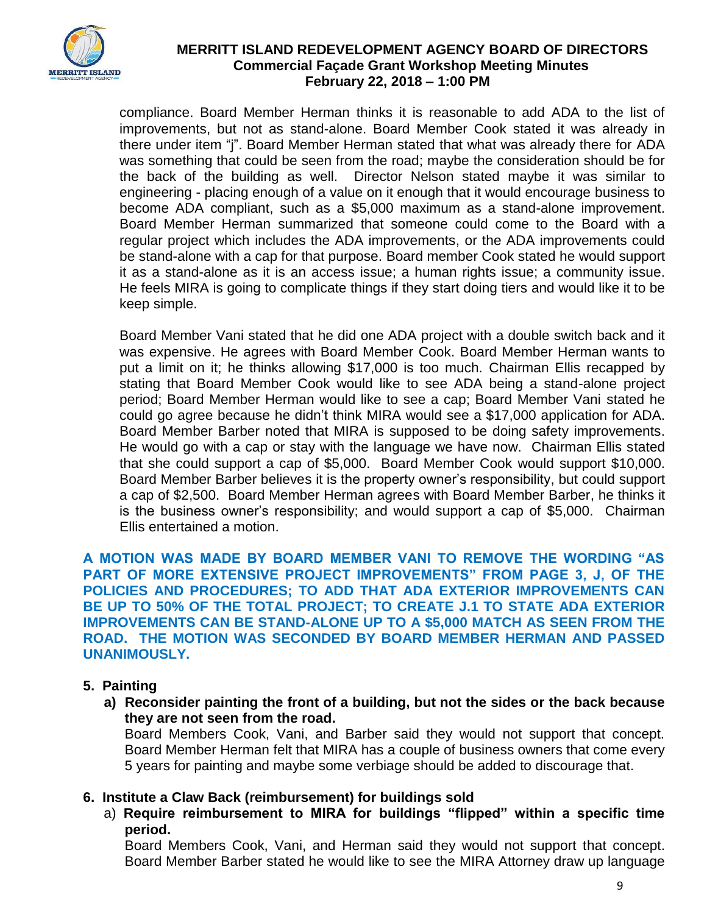

compliance. Board Member Herman thinks it is reasonable to add ADA to the list of improvements, but not as stand-alone. Board Member Cook stated it was already in there under item "j". Board Member Herman stated that what was already there for ADA was something that could be seen from the road; maybe the consideration should be for the back of the building as well. Director Nelson stated maybe it was similar to engineering - placing enough of a value on it enough that it would encourage business to become ADA compliant, such as a \$5,000 maximum as a stand-alone improvement. Board Member Herman summarized that someone could come to the Board with a regular project which includes the ADA improvements, or the ADA improvements could be stand-alone with a cap for that purpose. Board member Cook stated he would support it as a stand-alone as it is an access issue; a human rights issue; a community issue. He feels MIRA is going to complicate things if they start doing tiers and would like it to be keep simple.

Board Member Vani stated that he did one ADA project with a double switch back and it was expensive. He agrees with Board Member Cook. Board Member Herman wants to put a limit on it; he thinks allowing \$17,000 is too much. Chairman Ellis recapped by stating that Board Member Cook would like to see ADA being a stand-alone project period; Board Member Herman would like to see a cap; Board Member Vani stated he could go agree because he didn't think MIRA would see a \$17,000 application for ADA. Board Member Barber noted that MIRA is supposed to be doing safety improvements. He would go with a cap or stay with the language we have now. Chairman Ellis stated that she could support a cap of \$5,000. Board Member Cook would support \$10,000. Board Member Barber believes it is the property owner's responsibility, but could support a cap of \$2,500. Board Member Herman agrees with Board Member Barber, he thinks it is the business owner's responsibility; and would support a cap of \$5,000. Chairman Ellis entertained a motion.

**A MOTION WAS MADE BY BOARD MEMBER VANI TO REMOVE THE WORDING "AS PART OF MORE EXTENSIVE PROJECT IMPROVEMENTS" FROM PAGE 3, J, OF THE POLICIES AND PROCEDURES; TO ADD THAT ADA EXTERIOR IMPROVEMENTS CAN BE UP TO 50% OF THE TOTAL PROJECT; TO CREATE J.1 TO STATE ADA EXTERIOR IMPROVEMENTS CAN BE STAND-ALONE UP TO A \$5,000 MATCH AS SEEN FROM THE ROAD. THE MOTION WAS SECONDED BY BOARD MEMBER HERMAN AND PASSED UNANIMOUSLY.** 

# **5. Painting**

**a) Reconsider painting the front of a building, but not the sides or the back because they are not seen from the road.** 

Board Members Cook, Vani, and Barber said they would not support that concept. Board Member Herman felt that MIRA has a couple of business owners that come every 5 years for painting and maybe some verbiage should be added to discourage that.

# **6. Institute a Claw Back (reimbursement) for buildings sold**

a) **Require reimbursement to MIRA for buildings "flipped" within a specific time period.**

Board Members Cook, Vani, and Herman said they would not support that concept. Board Member Barber stated he would like to see the MIRA Attorney draw up language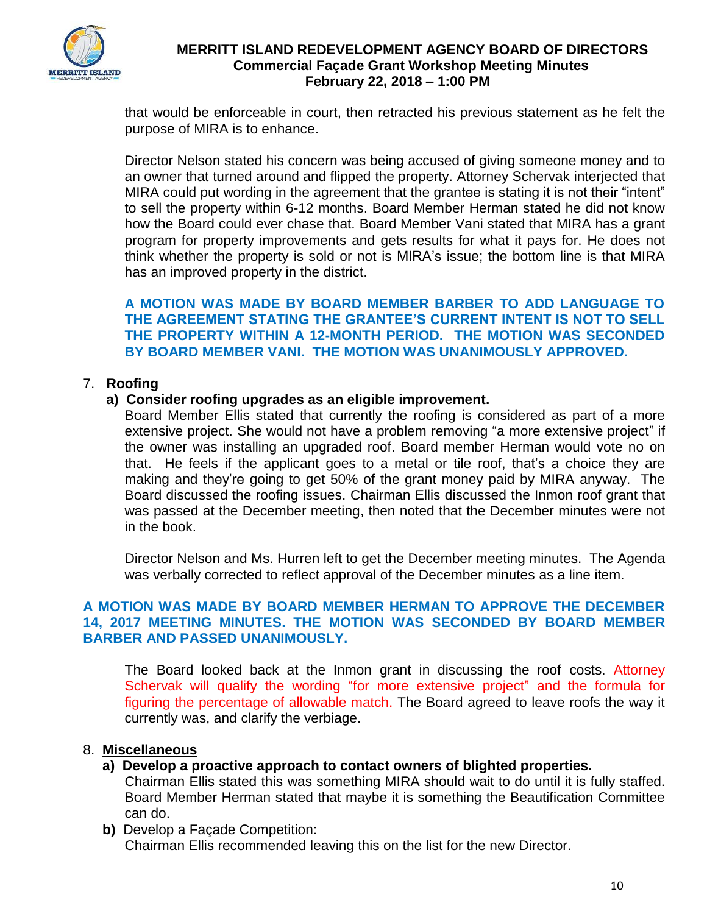

that would be enforceable in court, then retracted his previous statement as he felt the purpose of MIRA is to enhance.

Director Nelson stated his concern was being accused of giving someone money and to an owner that turned around and flipped the property. Attorney Schervak interjected that MIRA could put wording in the agreement that the grantee is stating it is not their "intent" to sell the property within 6-12 months. Board Member Herman stated he did not know how the Board could ever chase that. Board Member Vani stated that MIRA has a grant program for property improvements and gets results for what it pays for. He does not think whether the property is sold or not is MIRA's issue; the bottom line is that MIRA has an improved property in the district.

**A MOTION WAS MADE BY BOARD MEMBER BARBER TO ADD LANGUAGE TO THE AGREEMENT STATING THE GRANTEE'S CURRENT INTENT IS NOT TO SELL THE PROPERTY WITHIN A 12-MONTH PERIOD. THE MOTION WAS SECONDED BY BOARD MEMBER VANI. THE MOTION WAS UNANIMOUSLY APPROVED.** 

# 7. **Roofing**

# **a) Consider roofing upgrades as an eligible improvement.**

Board Member Ellis stated that currently the roofing is considered as part of a more extensive project. She would not have a problem removing "a more extensive project" if the owner was installing an upgraded roof. Board member Herman would vote no on that. He feels if the applicant goes to a metal or tile roof, that's a choice they are making and they're going to get 50% of the grant money paid by MIRA anyway. The Board discussed the roofing issues. Chairman Ellis discussed the Inmon roof grant that was passed at the December meeting, then noted that the December minutes were not in the book.

Director Nelson and Ms. Hurren left to get the December meeting minutes. The Agenda was verbally corrected to reflect approval of the December minutes as a line item.

# **A MOTION WAS MADE BY BOARD MEMBER HERMAN TO APPROVE THE DECEMBER 14, 2017 MEETING MINUTES. THE MOTION WAS SECONDED BY BOARD MEMBER BARBER AND PASSED UNANIMOUSLY.**

The Board looked back at the Inmon grant in discussing the roof costs. Attorney Schervak will qualify the wording "for more extensive project" and the formula for figuring the percentage of allowable match. The Board agreed to leave roofs the way it currently was, and clarify the verbiage.

# 8. **Miscellaneous**

**a) Develop a proactive approach to contact owners of blighted properties.**

 Chairman Ellis stated this was something MIRA should wait to do until it is fully staffed. Board Member Herman stated that maybe it is something the Beautification Committee can do.

 **b)** Develop a Façade Competition: Chairman Ellis recommended leaving this on the list for the new Director.